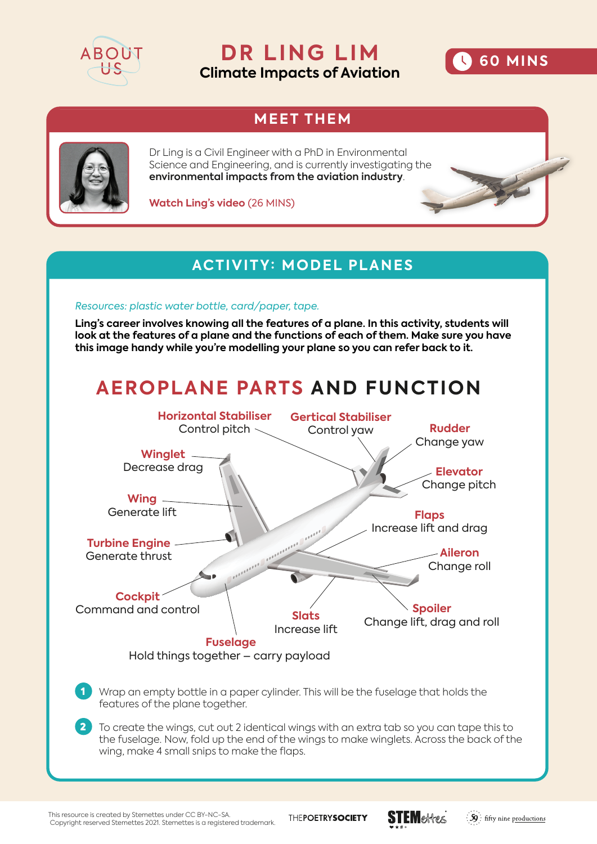

**DR LING LIM Climate Impacts of Aviation**



## **MEET THEM**



Dr Ling is a Civil Engineer with a PhD in Environmental Science and Engineering, and is currently investigating the **environmental impacts from the aviation industry**.

**Watch Ling's video** (26 MINS)

### **ACTIVITY: MODEL PLANES**

#### *Resources: plastic water bottle, card/paper, tape.*

**Ling's career involves knowing all the features of a plane. In this activity, students will look at the features of a plane and the functions of each of them. Make sure you have this image handy while you're modelling your plane so you can refer back to it.** 

## **AEROPLANE PARTS AND FUNCTION**